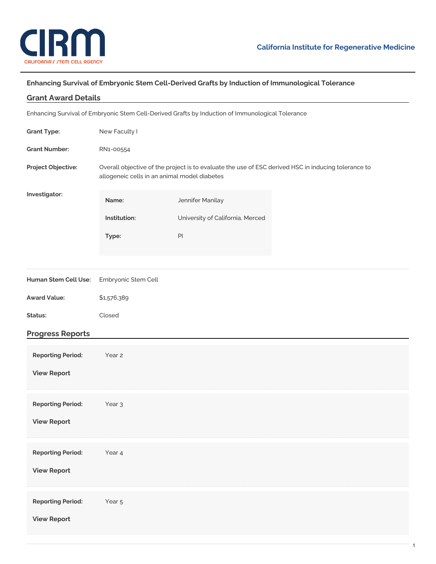

## **Enhancing Survival of Embryonic Stem Cell-Derived Grafts by Induction of Immunological Tolerance**

| <b>Grant Award Details</b>                                                                       |                                                                                                                                                     |                                  |  |
|--------------------------------------------------------------------------------------------------|-----------------------------------------------------------------------------------------------------------------------------------------------------|----------------------------------|--|
| Enhancing Survival of Embryonic Stem Cell-Derived Grafts by Induction of Immunological Tolerance |                                                                                                                                                     |                                  |  |
| <b>Grant Type:</b>                                                                               | New Faculty I                                                                                                                                       |                                  |  |
| <b>Grant Number:</b>                                                                             | RN1-00554                                                                                                                                           |                                  |  |
| Project Objective:                                                                               | Overall objective of the project is to evaluate the use of ESC derived HSC in inducing tolerance to<br>allogeneic cells in an animal model diabetes |                                  |  |
| Investigator:                                                                                    | Name:                                                                                                                                               | Jennifer Manilay                 |  |
|                                                                                                  | Institution:                                                                                                                                        | University of California, Merced |  |
|                                                                                                  | Type:                                                                                                                                               | PI                               |  |
|                                                                                                  |                                                                                                                                                     |                                  |  |
| Human Stem Cell Use:                                                                             | Embryonic Stem Cell                                                                                                                                 |                                  |  |
| <b>Award Value:</b>                                                                              | \$1,576,389                                                                                                                                         |                                  |  |
| Status:                                                                                          | Closed                                                                                                                                              |                                  |  |
| <b>Progress Reports</b>                                                                          |                                                                                                                                                     |                                  |  |
| <b>Reporting Period:</b>                                                                         | Year 2                                                                                                                                              |                                  |  |
| <b>View Report</b>                                                                               |                                                                                                                                                     |                                  |  |
|                                                                                                  |                                                                                                                                                     |                                  |  |
| <b>Reporting Period:</b>                                                                         | Year <sub>3</sub>                                                                                                                                   |                                  |  |
| <b>View Report</b>                                                                               |                                                                                                                                                     |                                  |  |
| <b>Reporting Period:</b>                                                                         | Year 4                                                                                                                                              |                                  |  |
| <b>View Report</b>                                                                               |                                                                                                                                                     |                                  |  |
|                                                                                                  |                                                                                                                                                     |                                  |  |
| <b>Reporting Period:</b>                                                                         | Year 5                                                                                                                                              |                                  |  |
| <b>View Report</b>                                                                               |                                                                                                                                                     |                                  |  |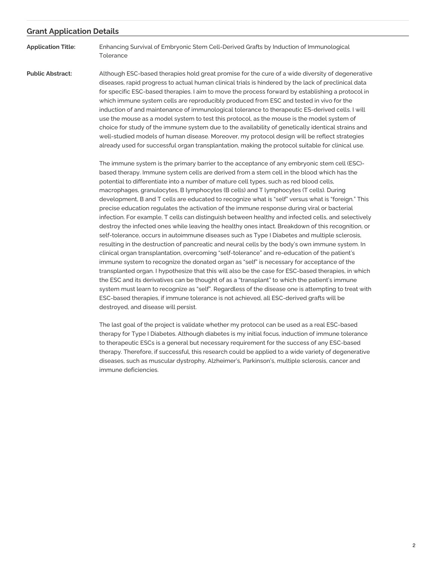## **Grant Application Details**

**Application Title:** Enhancing Survival of Embryonic Stem Cell-Derived Grafts by Induction of Immunological **Tolerance** 

**Public Abstract:** Although ESC-based therapies hold great promise for the cure of a wide diversity of degenerative diseases, rapid progress to actual human clinical trials is hindered by the lack of preclinical data for specific ESC-based therapies. I aim to move the process forward by establishing a protocol in which immune system cells are reproducibly produced from ESC and tested in vivo for the induction of and maintenance of immunological tolerance to therapeutic ES-derived cells. I will use the mouse as a model system to test this protocol, as the mouse is the model system of choice for study of the immune system due to the availability of genetically identical strains and well-studied models of human disease. Moreover, my protocol design will be reflect strategies already used for successful organ transplantation, making the protocol suitable for clinical use.

> The immune system is the primary barrier to the acceptance of any embryonic stem cell (ESC) based therapy. Immune system cells are derived from a stem cell in the blood which has the potential to differentiate into a number of mature cell types, such as red blood cells, macrophages, granulocytes, B lymphocytes (B cells) and T lymphocytes (T cells). During development, B and T cells are educated to recognize what is "self" versus what is "foreign." This precise education regulates the activation of the immune response during viral or bacterial infection. For example, T cells can distinguish between healthy and infected cells, and selectively destroy the infected ones while leaving the healthy ones intact. Breakdown of this recognition, or self-tolerance, occurs in autoimmune diseases such as Type I Diabetes and multiple sclerosis, resulting in the destruction of pancreatic and neural cells by the body's own immune system. In clinical organ transplantation, overcoming "self-tolerance" and re-education of the patient's immune system to recognize the donated organ as "self" is necessary for acceptance of the transplanted organ. I hypothesize that this will also be the case for ESC-based therapies, in which the ESC and its derivatives can be thought of as a "transplant" to which the patient's immune system must learn to recognize as "self". Regardless of the disease one is attempting to treat with ESC-based therapies, if immune tolerance is not achieved, all ESC-derived grafts will be destroyed, and disease will persist.

> The last goal of the project is validate whether my protocol can be used as a real ESC-based therapy for Type I Diabetes. Although diabetes is my initial focus, induction of immune tolerance to therapeutic ESCs is a general but necessary requirement for the success of any ESC-based therapy. Therefore, if successful, this research could be applied to a wide variety of degenerative diseases, such as muscular dystrophy, Alzheimer's, Parkinson's, multiple sclerosis, cancer and immune deficiencies.